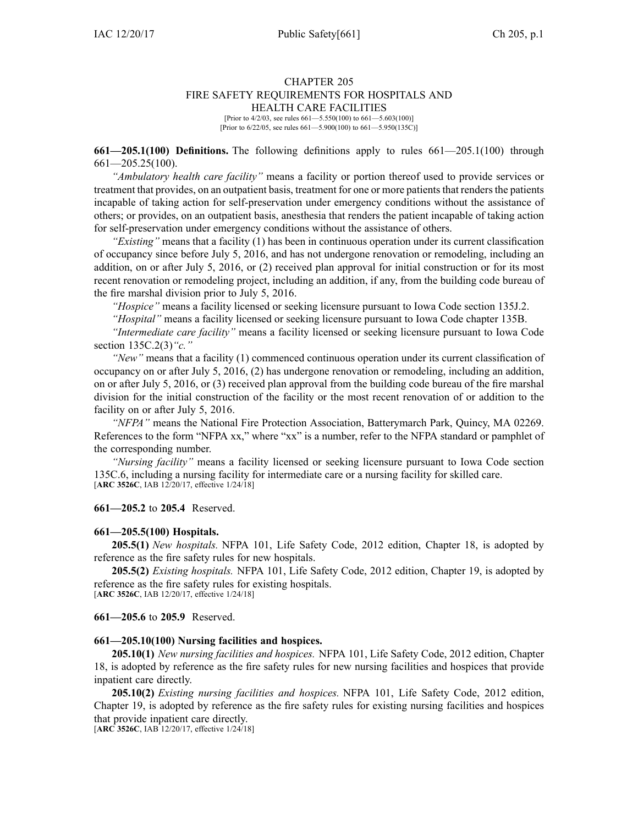### CHAPTER 205 FIRE SAFETY REQUIREMENTS FOR HOSPITALS AND HEALTH CARE FACILITIES

[Prior to  $4/2/03$ , see rules  $661 - 5.550(100)$  to  $661 - 5.603(100)$ ] [Prior to 6/22/05, see rules 661—5.900(100) to 661—5.950(135C)]

**661—205.1(100) Definitions.** The following definitions apply to rules [661—205.1](https://www.legis.iowa.gov/docs/iac/rule/661.205.1.pdf)(100) through [661—205.25](https://www.legis.iowa.gov/docs/iac/rule/661.205.25.pdf)(100).

*"Ambulatory health care facility"* means <sup>a</sup> facility or portion thereof used to provide services or treatment that provides, on an outpatient basis, treatment for one or more patients that renders the patients incapable of taking action for self-preservation under emergency conditions without the assistance of others; or provides, on an outpatient basis, anesthesia that renders the patient incapable of taking action for self-preservation under emergency conditions without the assistance of others.

*"Existing"* means that <sup>a</sup> facility (1) has been in continuous operation under its current classification of occupancy since before July 5, 2016, and has not undergone renovation or remodeling, including an addition, on or after July 5, 2016, or (2) received plan approval for initial construction or for its most recent renovation or remodeling project, including an addition, if any, from the building code bureau of the fire marshal division prior to July 5, 2016.

*"Hospice"* means <sup>a</sup> facility licensed or seeking licensure pursuan<sup>t</sup> to Iowa Code section [135J.2](https://www.legis.iowa.gov/docs/ico/section/135J.2.pdf).

*"Hospital"* means <sup>a</sup> facility licensed or seeking licensure pursuan<sup>t</sup> to Iowa Code chapter [135B](https://www.legis.iowa.gov/docs/ico/chapter/135B.pdf).

*"Intermediate care facility"* means <sup>a</sup> facility licensed or seeking licensure pursuan<sup>t</sup> to Iowa Code section [135C.2\(3\)](https://www.legis.iowa.gov/docs/ico/section/135C.2.pdf)*"c."*

*"New"* means that <sup>a</sup> facility (1) commenced continuous operation under its current classification of occupancy on or after July 5, 2016, (2) has undergone renovation or remodeling, including an addition, on or after July 5, 2016, or (3) received plan approval from the building code bureau of the fire marshal division for the initial construction of the facility or the most recent renovation of or addition to the facility on or after July 5, 2016.

*"NFPA"* means the National Fire Protection Association, Batterymarch Park, Quincy, MA 02269. References to the form "NFPA xx," where "xx" is <sup>a</sup> number, refer to the NFPA standard or pamphlet of the corresponding number.

*"Nursing facility"* means <sup>a</sup> facility licensed or seeking licensure pursuan<sup>t</sup> to Iowa Code section [135C.6](https://www.legis.iowa.gov/docs/ico/section/135C.6.pdf), including <sup>a</sup> nursing facility for intermediate care or <sup>a</sup> nursing facility for skilled care. [**ARC [3526C](https://www.legis.iowa.gov/docs/aco/arc/3526C.pdf)**, IAB 12/20/17, effective 1/24/18]

**661—205.2** to **205.4** Reserved.

#### **661—205.5(100) Hospitals.**

**205.5(1)** *New hospitals.* NFPA 101, Life Safety Code, 2012 edition, Chapter 18, is adopted by reference as the fire safety rules for new hospitals.

**205.5(2)** *Existing hospitals.* NFPA 101, Life Safety Code, 2012 edition, Chapter 19, is adopted by reference as the fire safety rules for existing hospitals.

[**ARC [3526C](https://www.legis.iowa.gov/docs/aco/arc/3526C.pdf)**, IAB 12/20/17, effective 1/24/18]

**661—205.6** to **205.9** Reserved.

### **661—205.10(100) Nursing facilities and hospices.**

**205.10(1)** *New nursing facilities and hospices.* NFPA 101, Life Safety Code, 2012 edition, Chapter 18, is adopted by reference as the fire safety rules for new nursing facilities and hospices that provide inpatient care directly.

**205.10(2)** *Existing nursing facilities and hospices.* NFPA 101, Life Safety Code, 2012 edition, Chapter 19, is adopted by reference as the fire safety rules for existing nursing facilities and hospices that provide inpatient care directly.

[**ARC [3526C](https://www.legis.iowa.gov/docs/aco/arc/3526C.pdf)**, IAB 12/20/17, effective 1/24/18]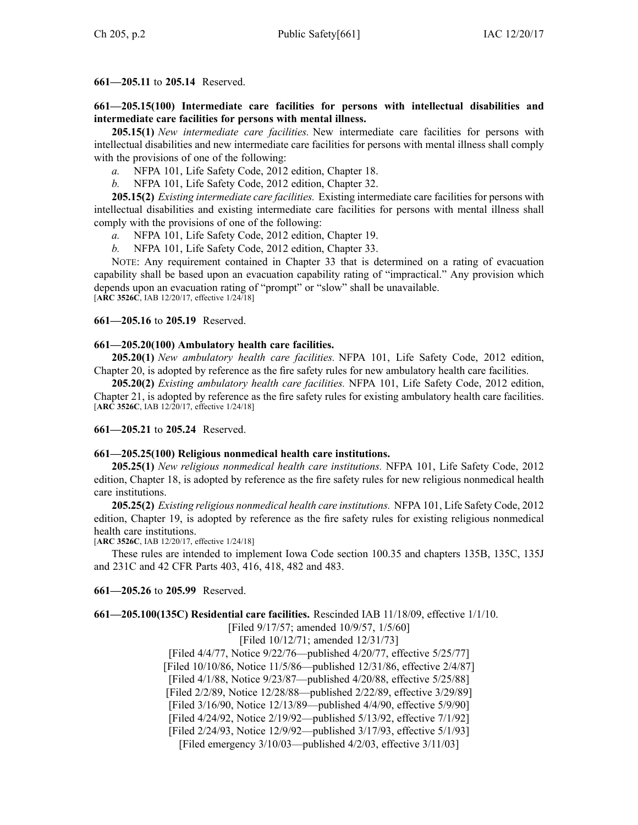# **661—205.11** to **205.14** Reserved.

**661—205.15(100) Intermediate care facilities for persons with intellectual disabilities and intermediate care facilities for persons with mental illness.**

**205.15(1)** *New intermediate care facilities.* New intermediate care facilities for persons with intellectual disabilities and new intermediate care facilities for persons with mental illness shall comply with the provisions of one of the following:

*a.* NFPA 101, Life Safety Code, 2012 edition, Chapter 18.

*b.* NFPA 101, Life Safety Code, 2012 edition, Chapter 32.

**205.15(2)** *Existing intermediate care facilities.* Existing intermediate care facilities for persons with intellectual disabilities and existing intermediate care facilities for persons with mental illness shall comply with the provisions of one of the following:

*a.* NFPA 101, Life Safety Code, 2012 edition, Chapter 19.

*b.* NFPA 101, Life Safety Code, 2012 edition, Chapter 33.

NOTE: Any requirement contained in Chapter 33 that is determined on <sup>a</sup> rating of evacuation capability shall be based upon an evacuation capability rating of "impractical." Any provision which depends upon an evacuation rating of "prompt" or "slow" shall be unavailable. [**ARC [3526C](https://www.legis.iowa.gov/docs/aco/arc/3526C.pdf)**, IAB 12/20/17, effective 1/24/18]

**661—205.16** to **205.19** Reserved.

# **661—205.20(100) Ambulatory health care facilities.**

**205.20(1)** *New ambulatory health care facilities.* NFPA 101, Life Safety Code, 2012 edition, Chapter 20, is adopted by reference as the fire safety rules for new ambulatory health care facilities.

**205.20(2)** *Existing ambulatory health care facilities.* NFPA 101, Life Safety Code, 2012 edition, Chapter 21, is adopted by reference as the fire safety rules for existing ambulatory health care facilities. [**ARC [3526C](https://www.legis.iowa.gov/docs/aco/arc/3526C.pdf)**, IAB 12/20/17, effective 1/24/18]

**661—205.21** to **205.24** Reserved.

## **661—205.25(100) Religious nonmedical health care institutions.**

**205.25(1)** *New religious nonmedical health care institutions.* NFPA 101, Life Safety Code, 2012 edition, Chapter 18, is adopted by reference as the fire safety rules for new religious nonmedical health care institutions.

**205.25(2)** *Existing religious nonmedical health care institutions.* NFPA 101, Life Safety Code, 2012 edition, Chapter 19, is adopted by reference as the fire safety rules for existing religious nonmedical health care institutions.

[**ARC [3526C](https://www.legis.iowa.gov/docs/aco/arc/3526C.pdf)**, IAB 12/20/17, effective 1/24/18]

These rules are intended to implement Iowa Code section [100.35](https://www.legis.iowa.gov/docs/ico/section/100.35.pdf) and chapters [135B](https://www.legis.iowa.gov/docs/ico/chapter/135B.pdf), [135C](https://www.legis.iowa.gov/docs/ico/chapter/135C.pdf), [135J](https://www.legis.iowa.gov/docs/ico/chapter/135J.pdf) and [231C](https://www.legis.iowa.gov/docs/ico/chapter/213C.pdf) and 42 CFR Parts [403,](https://www.law.cornell.edu/cfr/text/42/part-403, 416, 418, 482, 483) 416, 418, 482 and 483.

**661—205.26** to **205.99** Reserved.

**661—205.100(135C) Residential care facilities.** Rescinded IAB [11/18/09](https://www.legis.iowa.gov/docs/aco/bulletin/11-18-2009.pdf), effective 1/1/10.

[Filed 9/17/57; amended 10/9/57, 1/5/60]

[Filed 10/12/71; amended 12/31/73]

[Filed 4/4/77, Notice 9/22/76—published 4/20/77, effective 5/25/77] [Filed 10/10/86, Notice 11/5/86—published 12/31/86, effective 2/4/87] [Filed 4/1/88, Notice 9/23/87—published 4/20/88, effective 5/25/88] [Filed 2/2/89, Notice 12/28/88—published 2/22/89, effective 3/29/89] [Filed 3/16/90, Notice 12/13/89—published 4/4/90, effective 5/9/90] [Filed 4/24/92, Notice 2/19/92—published 5/13/92, effective 7/1/92] [Filed 2/24/93, Notice 12/9/92—published 3/17/93, effective 5/1/93]

[Filed emergency 3/10/03—published 4/2/03, effective 3/11/03]